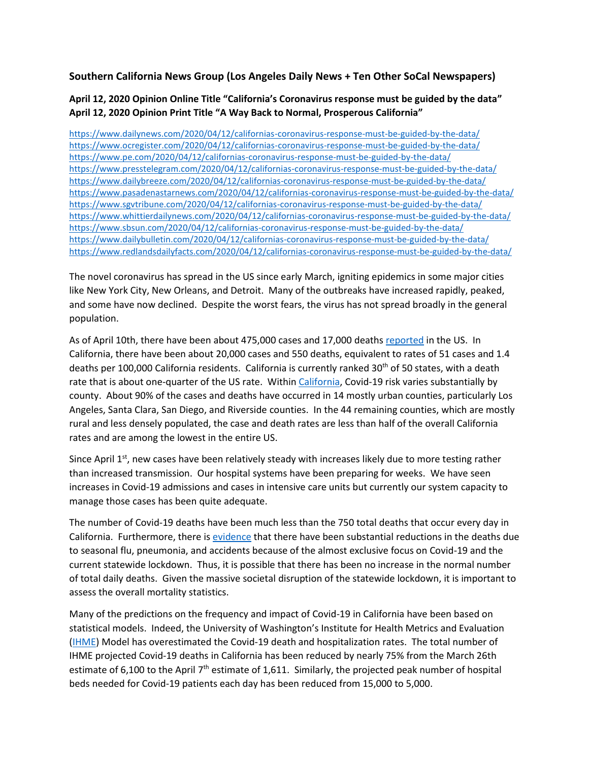**Southern California News Group (Los Angeles Daily News + Ten Other SoCal Newspapers)** 

**April 12, 2020 Opinion Online Title "California's Coronavirus response must be guided by the data" April 12, 2020 Opinion Print Title "A Way Back to Normal, Prosperous California"**

<https://www.dailynews.com/2020/04/12/californias-coronavirus-response-must-be-guided-by-the-data/> <https://www.ocregister.com/2020/04/12/californias-coronavirus-response-must-be-guided-by-the-data/> <https://www.pe.com/2020/04/12/californias-coronavirus-response-must-be-guided-by-the-data/> <https://www.presstelegram.com/2020/04/12/californias-coronavirus-response-must-be-guided-by-the-data/> <https://www.dailybreeze.com/2020/04/12/californias-coronavirus-response-must-be-guided-by-the-data/> <https://www.pasadenastarnews.com/2020/04/12/californias-coronavirus-response-must-be-guided-by-the-data/> <https://www.sgvtribune.com/2020/04/12/californias-coronavirus-response-must-be-guided-by-the-data/> <https://www.whittierdailynews.com/2020/04/12/californias-coronavirus-response-must-be-guided-by-the-data/> <https://www.sbsun.com/2020/04/12/californias-coronavirus-response-must-be-guided-by-the-data/> <https://www.dailybulletin.com/2020/04/12/californias-coronavirus-response-must-be-guided-by-the-data/> <https://www.redlandsdailyfacts.com/2020/04/12/californias-coronavirus-response-must-be-guided-by-the-data/>

The novel coronavirus has spread in the US since early March, igniting epidemics in some major cities like New York City, New Orleans, and Detroit. Many of the outbreaks have increased rapidly, peaked, and some have now declined. Despite the worst fears, the virus has not spread broadly in the general population.

As of April 10th, there have been about 475,000 cases and 17,000 deaths [reported](https://www.worldometers.info/coronavirus/country/us/) in the US. In California, there have been about 20,000 cases and 550 deaths, equivalent to rates of 51 cases and 1.4 deaths per 100,000 California residents. California is currently ranked 30<sup>th</sup> of 50 states, with a death rate that is about one-quarter of the US rate. Withi[n California,](https://data.chhs.ca.gov/) Covid-19 risk varies substantially by county. About 90% of the cases and deaths have occurred in 14 mostly urban counties, particularly Los Angeles, Santa Clara, San Diego, and Riverside counties. In the 44 remaining counties, which are mostly rural and less densely populated, the case and death rates are less than half of the overall California rates and are among the lowest in the entire US.

Since April 1<sup>st</sup>, new cases have been relatively steady with increases likely due to more testing rather than increased transmission. Our hospital systems have been preparing for weeks. We have seen increases in Covid-19 admissions and cases in intensive care units but currently our system capacity to manage those cases has been quite adequate.

The number of Covid-19 deaths have been much less than the 750 total deaths that occur every day in California. Furthermore, there is [evidence](https://www.cdc.gov/flu/about/burden/preliminary-in-season-estimates.htm) that there have been substantial reductions in the deaths due to seasonal flu, pneumonia, and accidents because of the almost exclusive focus on Covid-19 and the current statewide lockdown. Thus, it is possible that there has been no increase in the normal number of total daily deaths. Given the massive societal disruption of the statewide lockdown, it is important to assess the overall mortality statistics.

Many of the predictions on the frequency and impact of Covid-19 in California have been based on statistical models. Indeed, the University of Washington's Institute for Health Metrics and Evaluation [\(IHME\)](https://covid19.healthdata.org/united-states-of-america) Model has overestimated the Covid-19 death and hospitalization rates. The total number of IHME projected Covid-19 deaths in California has been reduced by nearly 75% from the March 26th estimate of 6,100 to the April 7<sup>th</sup> estimate of 1,611. Similarly, the projected peak number of hospital beds needed for Covid-19 patients each day has been reduced from 15,000 to 5,000.